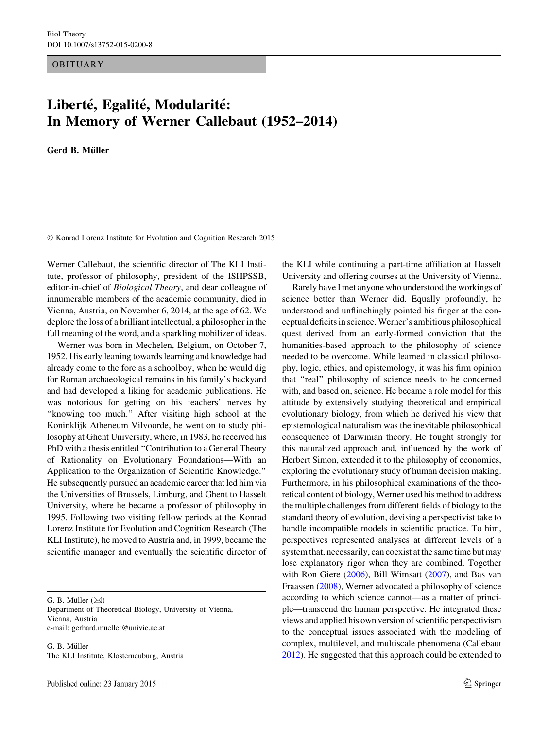OBITUARY

## Liberté, Egalité, Modularité: In Memory of Werner Callebaut (1952–2014)

Gerd B. Müller

- Konrad Lorenz Institute for Evolution and Cognition Research 2015

Werner Callebaut, the scientific director of The KLI Institute, professor of philosophy, president of the ISHPSSB, editor-in-chief of Biological Theory, and dear colleague of innumerable members of the academic community, died in Vienna, Austria, on November 6, 2014, at the age of 62. We deplore the loss of a brilliant intellectual, a philosopher in the full meaning of the word, and a sparkling mobilizer of ideas.

Werner was born in Mechelen, Belgium, on October 7, 1952. His early leaning towards learning and knowledge had already come to the fore as a schoolboy, when he would dig for Roman archaeological remains in his family's backyard and had developed a liking for academic publications. He was notorious for getting on his teachers' nerves by "knowing too much." After visiting high school at the Koninklijk Atheneum Vilvoorde, he went on to study philosophy at Ghent University, where, in 1983, he received his PhD with a thesis entitled ''Contribution to a General Theory of Rationality on Evolutionary Foundations—With an Application to the Organization of Scientific Knowledge.'' He subsequently pursued an academic career that led him via the Universities of Brussels, Limburg, and Ghent to Hasselt University, where he became a professor of philosophy in 1995. Following two visiting fellow periods at the Konrad Lorenz Institute for Evolution and Cognition Research (The KLI Institute), he moved to Austria and, in 1999, became the scientific manager and eventually the scientific director of

G. B. Müller  $(\boxtimes)$ 

Department of Theoretical Biology, University of Vienna, Vienna, Austria e-mail: gerhard.mueller@univie.ac.at

G. B. Müller The KLI Institute, Klosterneuburg, Austria the KLI while continuing a part-time affiliation at Hasselt University and offering courses at the University of Vienna.

Rarely have I met anyone who understood the workings of science better than Werner did. Equally profoundly, he understood and unflinchingly pointed his finger at the conceptual deficits in science. Werner's ambitious philosophical quest derived from an early-formed conviction that the humanities-based approach to the philosophy of science needed to be overcome. While learned in classical philosophy, logic, ethics, and epistemology, it was his firm opinion that ''real'' philosophy of science needs to be concerned with, and based on, science. He became a role model for this attitude by extensively studying theoretical and empirical evolutionary biology, from which he derived his view that epistemological naturalism was the inevitable philosophical consequence of Darwinian theory. He fought strongly for this naturalized approach and, influenced by the work of Herbert Simon, extended it to the philosophy of economics, exploring the evolutionary study of human decision making. Furthermore, in his philosophical examinations of the theoretical content of biology, Werner used his method to address the multiple challenges from different fields of biology to the standard theory of evolution, devising a perspectivist take to handle incompatible models in scientific practice. To him, perspectives represented analyses at different levels of a system that, necessarily, can coexist at the same time but may lose explanatory rigor when they are combined. Together with Ron Giere [\(2006](#page-3-0)), Bill Wimsatt [\(2007](#page-3-0)), and Bas van Fraassen ([2008\)](#page-3-0), Werner advocated a philosophy of science according to which science cannot—as a matter of principle—transcend the human perspective. He integrated these views and applied his own version of scientific perspectivism to the conceptual issues associated with the modeling of complex, multilevel, and multiscale phenomena (Callebaut [2012](#page-3-0)). He suggested that this approach could be extended to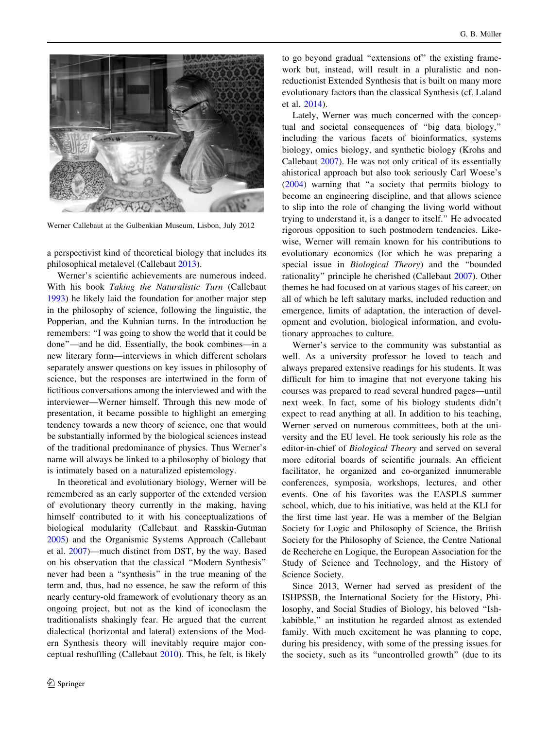

Werner Callebaut at the Gulbenkian Museum, Lisbon, July 2012

a perspectivist kind of theoretical biology that includes its philosophical metalevel (Callebaut [2013](#page-3-0)).

Werner's scientific achievements are numerous indeed. With his book Taking the Naturalistic Turn (Callebaut [1993\)](#page-3-0) he likely laid the foundation for another major step in the philosophy of science, following the linguistic, the Popperian, and the Kuhnian turns. In the introduction he remembers: ''I was going to show the world that it could be done''—and he did. Essentially, the book combines—in a new literary form—interviews in which different scholars separately answer questions on key issues in philosophy of science, but the responses are intertwined in the form of fictitious conversations among the interviewed and with the interviewer—Werner himself. Through this new mode of presentation, it became possible to highlight an emerging tendency towards a new theory of science, one that would be substantially informed by the biological sciences instead of the traditional predominance of physics. Thus Werner's name will always be linked to a philosophy of biology that is intimately based on a naturalized epistemology.

In theoretical and evolutionary biology, Werner will be remembered as an early supporter of the extended version of evolutionary theory currently in the making, having himself contributed to it with his conceptualizations of biological modularity (Callebaut and Rasskin-Gutman [2005\)](#page-3-0) and the Organismic Systems Approach (Callebaut et al. [2007\)](#page-3-0)—much distinct from DST, by the way. Based on his observation that the classical ''Modern Synthesis'' never had been a ''synthesis'' in the true meaning of the term and, thus, had no essence, he saw the reform of this nearly century-old framework of evolutionary theory as an ongoing project, but not as the kind of iconoclasm the traditionalists shakingly fear. He argued that the current dialectical (horizontal and lateral) extensions of the Modern Synthesis theory will inevitably require major conceptual reshuffling (Callebaut [2010\)](#page-3-0). This, he felt, is likely

to go beyond gradual ''extensions of'' the existing framework but, instead, will result in a pluralistic and nonreductionist Extended Synthesis that is built on many more evolutionary factors than the classical Synthesis (cf. Laland et al. [2014\)](#page-3-0).

Lately, Werner was much concerned with the conceptual and societal consequences of ''big data biology,'' including the various facets of bioinformatics, systems biology, omics biology, and synthetic biology (Krohs and Callebaut [2007\)](#page-3-0). He was not only critical of its essentially ahistorical approach but also took seriously Carl Woese's [\(2004](#page-3-0)) warning that ''a society that permits biology to become an engineering discipline, and that allows science to slip into the role of changing the living world without trying to understand it, is a danger to itself.'' He advocated rigorous opposition to such postmodern tendencies. Likewise, Werner will remain known for his contributions to evolutionary economics (for which he was preparing a special issue in Biological Theory) and the ''bounded rationality'' principle he cherished (Callebaut [2007\)](#page-3-0). Other themes he had focused on at various stages of his career, on all of which he left salutary marks, included reduction and emergence, limits of adaptation, the interaction of development and evolution, biological information, and evolutionary approaches to culture.

Werner's service to the community was substantial as well. As a university professor he loved to teach and always prepared extensive readings for his students. It was difficult for him to imagine that not everyone taking his courses was prepared to read several hundred pages—until next week. In fact, some of his biology students didn't expect to read anything at all. In addition to his teaching, Werner served on numerous committees, both at the university and the EU level. He took seriously his role as the editor-in-chief of Biological Theory and served on several more editorial boards of scientific journals. An efficient facilitator, he organized and co-organized innumerable conferences, symposia, workshops, lectures, and other events. One of his favorites was the EASPLS summer school, which, due to his initiative, was held at the KLI for the first time last year. He was a member of the Belgian Society for Logic and Philosophy of Science, the British Society for the Philosophy of Science, the Centre National de Recherche en Logique, the European Association for the Study of Science and Technology, and the History of Science Society.

Since 2013, Werner had served as president of the ISHPSSB, the International Society for the History, Philosophy, and Social Studies of Biology, his beloved ''Ishkabibble,'' an institution he regarded almost as extended family. With much excitement he was planning to cope, during his presidency, with some of the pressing issues for the society, such as its ''uncontrolled growth'' (due to its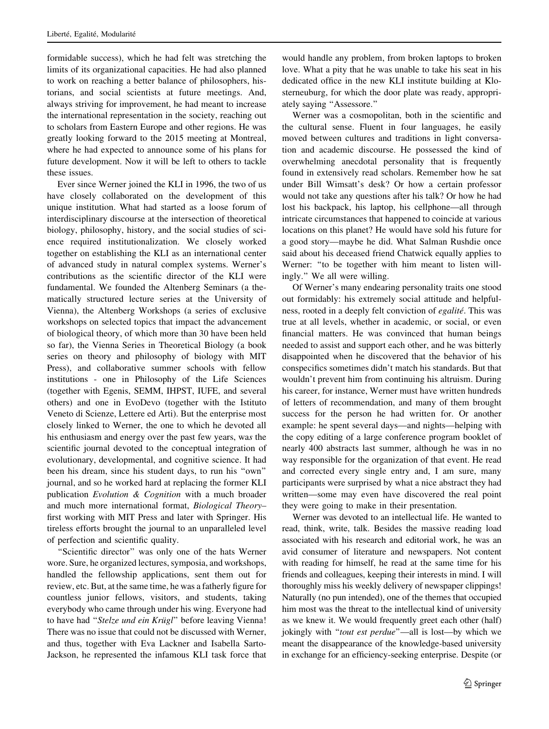formidable success), which he had felt was stretching the limits of its organizational capacities. He had also planned to work on reaching a better balance of philosophers, historians, and social scientists at future meetings. And, always striving for improvement, he had meant to increase the international representation in the society, reaching out to scholars from Eastern Europe and other regions. He was greatly looking forward to the 2015 meeting at Montreal, where he had expected to announce some of his plans for future development. Now it will be left to others to tackle these issues.

Ever since Werner joined the KLI in 1996, the two of us have closely collaborated on the development of this unique institution. What had started as a loose forum of interdisciplinary discourse at the intersection of theoretical biology, philosophy, history, and the social studies of science required institutionalization. We closely worked together on establishing the KLI as an international center of advanced study in natural complex systems. Werner's contributions as the scientific director of the KLI were fundamental. We founded the Altenberg Seminars (a thematically structured lecture series at the University of Vienna), the Altenberg Workshops (a series of exclusive workshops on selected topics that impact the advancement of biological theory, of which more than 30 have been held so far), the Vienna Series in Theoretical Biology (a book series on theory and philosophy of biology with MIT Press), and collaborative summer schools with fellow institutions - one in Philosophy of the Life Sciences (together with Egenis, SEMM, IHPST, IUFE, and several others) and one in EvoDevo (together with the Istituto Veneto di Scienze, Lettere ed Arti). But the enterprise most closely linked to Werner, the one to which he devoted all his enthusiasm and energy over the past few years, was the scientific journal devoted to the conceptual integration of evolutionary, developmental, and cognitive science. It had been his dream, since his student days, to run his ''own'' journal, and so he worked hard at replacing the former KLI publication Evolution & Cognition with a much broader and much more international format, Biological Theory– first working with MIT Press and later with Springer. His tireless efforts brought the journal to an unparalleled level of perfection and scientific quality.

"Scientific director" was only one of the hats Werner wore. Sure, he organized lectures, symposia, and workshops, handled the fellowship applications, sent them out for review, etc. But, at the same time, he was a fatherly figure for countless junior fellows, visitors, and students, taking everybody who came through under his wing. Everyone had to have had "Stelze und ein Krügl" before leaving Vienna! There was no issue that could not be discussed with Werner, and thus, together with Eva Lackner and Isabella Sarto-Jackson, he represented the infamous KLI task force that

would handle any problem, from broken laptops to broken love. What a pity that he was unable to take his seat in his dedicated office in the new KLI institute building at Klosterneuburg, for which the door plate was ready, appropriately saying ''Assessore.''

Werner was a cosmopolitan, both in the scientific and the cultural sense. Fluent in four languages, he easily moved between cultures and traditions in light conversation and academic discourse. He possessed the kind of overwhelming anecdotal personality that is frequently found in extensively read scholars. Remember how he sat under Bill Wimsatt's desk? Or how a certain professor would not take any questions after his talk? Or how he had lost his backpack, his laptop, his cellphone—all through intricate circumstances that happened to coincide at various locations on this planet? He would have sold his future for a good story—maybe he did. What Salman Rushdie once said about his deceased friend Chatwick equally applies to Werner: "to be together with him meant to listen willingly.'' We all were willing.

Of Werner's many endearing personality traits one stood out formidably: his extremely social attitude and helpfulness, rooted in a deeply felt conviction of *egalité*. This was true at all levels, whether in academic, or social, or even financial matters. He was convinced that human beings needed to assist and support each other, and he was bitterly disappointed when he discovered that the behavior of his conspecifics sometimes didn't match his standards. But that wouldn't prevent him from continuing his altruism. During his career, for instance, Werner must have written hundreds of letters of recommendation, and many of them brought success for the person he had written for. Or another example: he spent several days—and nights—helping with the copy editing of a large conference program booklet of nearly 400 abstracts last summer, although he was in no way responsible for the organization of that event. He read and corrected every single entry and, I am sure, many participants were surprised by what a nice abstract they had written—some may even have discovered the real point they were going to make in their presentation.

Werner was devoted to an intellectual life. He wanted to read, think, write, talk. Besides the massive reading load associated with his research and editorial work, he was an avid consumer of literature and newspapers. Not content with reading for himself, he read at the same time for his friends and colleagues, keeping their interests in mind. I will thoroughly miss his weekly delivery of newspaper clippings! Naturally (no pun intended), one of the themes that occupied him most was the threat to the intellectual kind of university as we knew it. We would frequently greet each other (half) jokingly with "tout est perdue"—all is lost—by which we meant the disappearance of the knowledge-based university in exchange for an efficiency-seeking enterprise. Despite (or